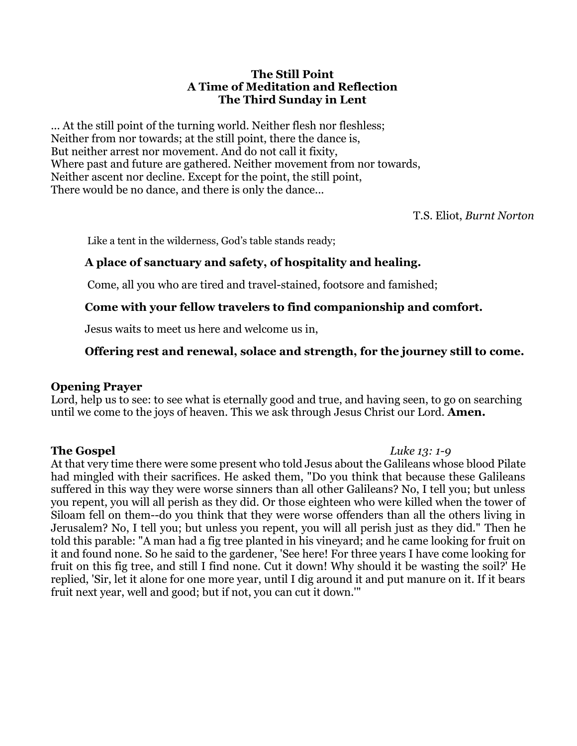### **The Still Point A Time of Meditation and Reflection The Third Sunday in Lent**

... At the still point of the turning world. Neither flesh nor fleshless; Neither from nor towards; at the still point, there the dance is, But neither arrest nor movement. And do not call it fixity, Where past and future are gathered. Neither movement from nor towards, Neither ascent nor decline. Except for the point, the still point, There would be no dance, and there is only the dance...

T.S. Eliot, *Burnt Norton*

Like a tent in the wilderness, God's table stands ready;

## **A place of sanctuary and safety, of hospitality and healing.**

Come, all you who are tired and travel-stained, footsore and famished;

## **Come with your fellow travelers to find companionship and comfort.**

Jesus waits to meet us here and welcome us in,

# **Offering rest and renewal, solace and strength, for the journey still to come.**

## **Opening Prayer**

Lord, help us to see: to see what is eternally good and true, and having seen, to go on searching until we come to the joys of heaven. This we ask through Jesus Christ our Lord. **Amen.**

## **The Gospel** *Luke 13: 1-9*

At that very time there were some present who told Jesus about the Galileans whose blood Pilate had mingled with their sacrifices. He asked them, "Do you think that because these Galileans suffered in this way they were worse sinners than all other Galileans? No, I tell you; but unless you repent, you will all perish as they did. Or those eighteen who were killed when the tower of Siloam fell on them--do you think that they were worse offenders than all the others living in Jerusalem? No, I tell you; but unless you repent, you will all perish just as they did." Then he told this parable: "A man had a fig tree planted in his vineyard; and he came looking for fruit on it and found none. So he said to the gardener, 'See here! For three years I have come looking for fruit on this fig tree, and still I find none. Cut it down! Why should it be wasting the soil?' He replied, 'Sir, let it alone for one more year, until I dig around it and put manure on it. If it bears fruit next year, well and good; but if not, you can cut it down.'"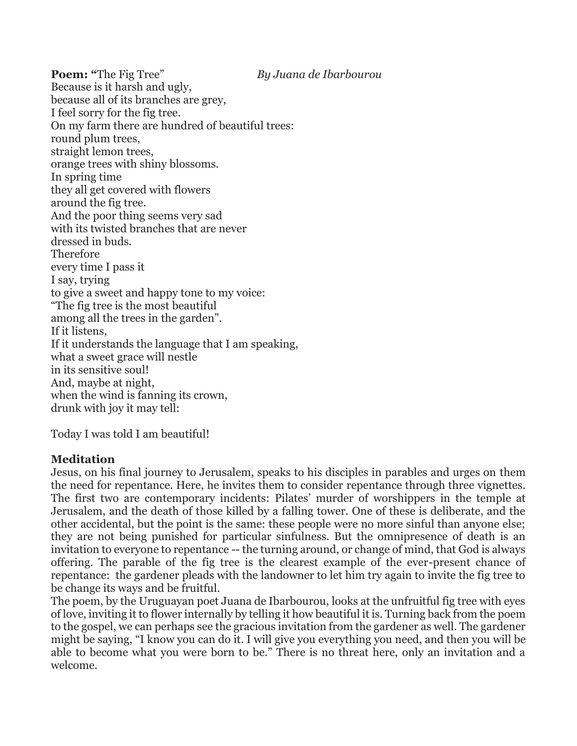**Poem: "**The Fig Tree" *By Juana de Ibarbourou* Because is it harsh and ugly, because all of its branches are grey, I feel sorry for the fig tree. On my farm there are hundred of beautiful trees: round plum trees, straight lemon trees, orange trees with shiny blossoms. In spring time they all get covered with flowers around the fig tree. And the poor thing seems very sad with its twisted branches that are never dressed in buds. Therefore every time I pass it I say, trying to give a sweet and happy tone to my voice: "The fig tree is the most beautiful among all the trees in the garden". If it listens, If it understands the language that I am speaking, what a sweet grace will nestle in its sensitive soul! And, maybe at night, when the wind is fanning its crown, drunk with joy it may tell:

Today I was told I am beautiful!

## **Meditation**

Jesus, on his final journey to Jerusalem, speaks to his disciples in parables and urges on them the need for repentance. Here, he invites them to consider repentance through three vignettes. The first two are contemporary incidents: Pilates' murder of worshippers in the temple at Jerusalem, and the death of those killed by a falling tower. One of these is deliberate, and the other accidental, but the point is the same: these people were no more sinful than anyone else; they are not being punished for particular sinfulness. But the omnipresence of death is an invitation to everyone to repentance -- the turning around, or change of mind, that God is always offering. The parable of the fig tree is the clearest example of the ever-present chance of repentance: the gardener pleads with the landowner to let him try again to invite the fig tree to be change its ways and be fruitful.

The poem, by the Uruguayan poet Juana de Ibarbourou, looks at the unfruitful fig tree with eyes of love, inviting it to flower internally by telling it how beautiful it is. Turning back from the poem to the gospel, we can perhaps see the gracious invitation from the gardener as well. The gardener might be saying, "I know you can do it. I will give you everything you need, and then you will be able to become what you were born to be." There is no threat here, only an invitation and a welcome.